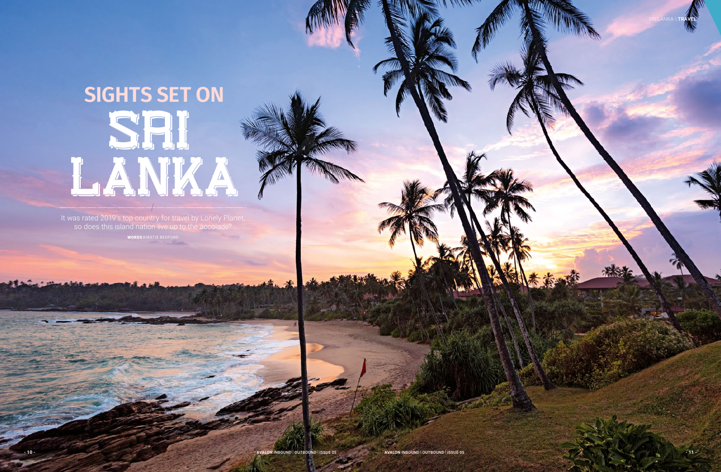It was rated 2019's top country for travel by Lonely Planet, so does this island nation live up to the accolade? WORDS KIRSTIE BEDFORD

# SRI LANKA  $\frac{1}{2}$ **SIGHTS SET ON**

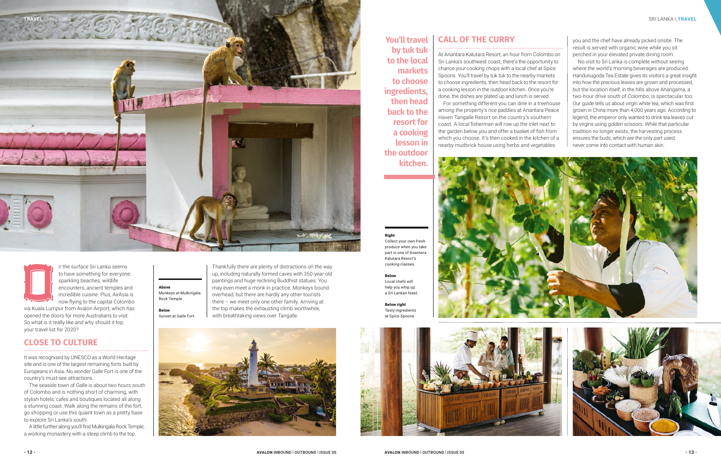The surface Sri Lanka seems<br>to have something for everyone<br>sparkling beaches, wildlife<br>encounters, ancient temples are<br>incredible cuisine. Plus, AirAsia<br>now flying to the capital Colom<br>via Kuala Lumpur from Avalon Airport, to have something for everyone: sparkling beaches, wildlife encounters, ancient temples and incredible cuisine. Plus, AirAsia is now flying to the capital Colombo

via Kuala Lumpur from Avalon Airport, which has opened the doors for more Australians to visit. So what is it really like and why should it top your travel list for 2020?

### **CLOSE TO CULTURE**

It was recognised by UNESCO as a World Heritage site and is one of the largest remaining forts built by Europeans in Asia. No wonder Galle Fort is one of the country's must-see attractions.

The seaside town of Galle is about two hours south of Colombo and is nothing short of charming, with stylish hotels, cafes and boutiques located all along a stunning coast. Walk along the remains of the fort, go shopping or use this quaint town as a pretty base to explore Sri Lanka's south.

A little further along you'll find Mulkirigala Rock Temple, a working monastery with a steep climb to the top.

At Anantara Kalutara Resort, an hour from Colombo on Sri Lanka's southwest coast, there's the opportunity to chance your cooking chops with a local chef at Spice Spoons. You'll travel by tuk tuk to the nearby markets to choose ingredients, then head back to the resort for a cooking lesson in the outdoor kitchen. Once you're done, the dishes are plated up and lunch is served. For something different you can dine in a treehouse among the property's rice paddies at Anantara Peace Haven Tangalle Resort on the country's southern coast. A local fisherman will row up the inlet next to the garden below you and offer a basket of fish from which you choose. It's then cooked in the kitchen of a nearby mudbrick house using herbs and vegetables

#### Right Collect your own fresh produce when you take part in one of Anantara Kalutara Resort's cooking classes.

Below Local chefs will help you whip up a Sri Lankan feast.

Below right Tasty ingredients at Spice Spoons.



#### **CALL OF THE CURRY You'll travel**

Thankfully there are plenty of distractions on the way up, including naturally formed caves with 350-year-old paintings and huge reclining Buddhist statues. You may even meet a monk in practice. Monkeys bound overhead, but there are hardly any other tourists there – we meet only one other family. Arriving at the top makes the exhausting climb worthwhile, with breathtaking views over Tangalle.



Above

Monkeys at Mulkirigala Rock Temple.

Below Sunset at Galle Fort. you and the chef have already picked onsite. The result is served with organic wine while you sit perched in your elevated private dining room.

No visit to Sri Lanka is complete without seeing where the world's morning beverages are produced. Handunugoda Tea Estate gives its visitors a great insight into how the precious leaves are grown and processed, but the location itself, in the hills above Ahangama, a two-hour drive south of Colombo, is spectacular too. Our guide tells us about virgin white tea, which was first grown in China more than 4,000 years ago. According to legend, the emperor only wanted to drink tea leaves cut by virgins using golden scissors. While that particular tradition no longer exists, the harvesting process ensures the buds, which are the only part used, never come into contact with human skin.



**by tuk tuk to the local markets to choose ingredients, then head back to the resort for a cooking lesson in the outdoor kitchen.**

#### SRI LANKA \ **TRAVEL**